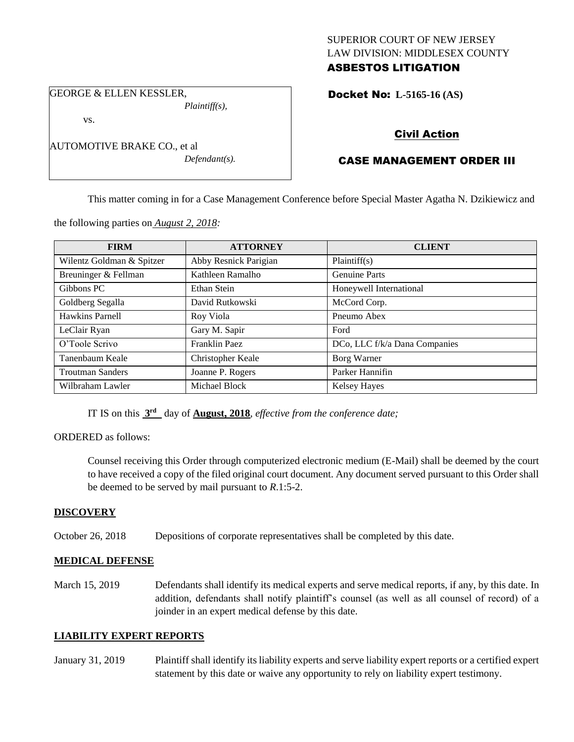### SUPERIOR COURT OF NEW JERSEY LAW DIVISION: MIDDLESEX COUNTY ASBESTOS LITIGATION

GEORGE & ELLEN KESSLER, *Plaintiff(s),*

vs.

| AUTOMOTIVE BRAKE CO., et al |  |
|-----------------------------|--|
| $Defendant(s)$ .            |  |

Docket No: **L-5165-16 (AS)** 

# Civil Action

# CASE MANAGEMENT ORDER III

This matter coming in for a Case Management Conference before Special Master Agatha N. Dzikiewicz and

the following parties on *August 2, 2018:*

| <b>FIRM</b>               | <b>ATTORNEY</b>       | <b>CLIENT</b>                 |
|---------------------------|-----------------------|-------------------------------|
| Wilentz Goldman & Spitzer | Abby Resnick Parigian | Plaintiff(s)                  |
| Breuninger & Fellman      | Kathleen Ramalho      | <b>Genuine Parts</b>          |
| Gibbons PC                | Ethan Stein           | Honeywell International       |
| Goldberg Segalla          | David Rutkowski       | McCord Corp.                  |
| Hawkins Parnell           | Roy Viola             | Pneumo Abex                   |
| LeClair Ryan              | Gary M. Sapir         | Ford                          |
| O'Toole Scrivo            | Franklin Paez         | DCo, LLC f/k/a Dana Companies |
| Tanenbaum Keale           | Christopher Keale     | Borg Warner                   |
| <b>Troutman Sanders</b>   | Joanne P. Rogers      | Parker Hannifin               |
| Wilbraham Lawler          | Michael Block         | <b>Kelsey Hayes</b>           |

IT IS on this **3 rd** day of **August, 2018**, *effective from the conference date;*

### ORDERED as follows:

Counsel receiving this Order through computerized electronic medium (E-Mail) shall be deemed by the court to have received a copy of the filed original court document. Any document served pursuant to this Order shall be deemed to be served by mail pursuant to *R*.1:5-2.

### **DISCOVERY**

October 26, 2018 Depositions of corporate representatives shall be completed by this date.

### **MEDICAL DEFENSE**

March 15, 2019 Defendants shall identify its medical experts and serve medical reports, if any, by this date. In addition, defendants shall notify plaintiff's counsel (as well as all counsel of record) of a joinder in an expert medical defense by this date.

### **LIABILITY EXPERT REPORTS**

January 31, 2019 Plaintiff shall identify its liability experts and serve liability expert reports or a certified expert statement by this date or waive any opportunity to rely on liability expert testimony.